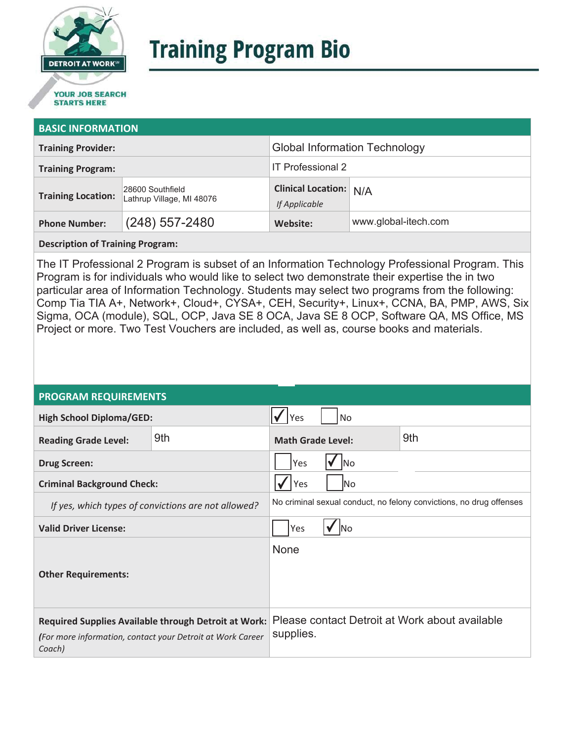

# **Training Program Bio**

## **STARTS HERE**

#### **BASIC INFORMATION**

| <b>Training Provider:</b> |                                               | <b>Global Information Technology</b>           |                      |  |
|---------------------------|-----------------------------------------------|------------------------------------------------|----------------------|--|
| <b>Training Program:</b>  |                                               | <b>IT Professional 2</b>                       |                      |  |
| <b>Training Location:</b> | 28600 Southfield<br>Lathrup Village, MI 48076 | <b>Clinical Location:</b> N/A<br>If Applicable |                      |  |
| <b>Phone Number:</b>      | $(248)$ 557-2480                              | Website:                                       | www.global-itech.com |  |

**Description of Training Program:** 

The IT Professional 2 Program is subset of an Information Technology Professional Program. This Program is for individuals who would like to select two demonstrate their expertise the in two particular area of Information Technology. Students may select two programs from the following: Comp Tia TIA A+, Network+, Cloud+, CYSA+, CEH, Security+, Linux+, CCNA, BA, PMP, AWS, Six Sigma, OCA (module), SQL, OCP, Java SE 8 OCA, Java SE 8 OCP, Software QA, MS Office, MS Project or more. Two Test Vouchers are included, as well as, course books and materials.

#### **PROGRAM REQUIREMENTS**

| <b>High School Diploma/GED:</b>                                                                                              |     | <b>Yes</b><br>No                                                    |  |  |
|------------------------------------------------------------------------------------------------------------------------------|-----|---------------------------------------------------------------------|--|--|
| <b>Reading Grade Level:</b>                                                                                                  | 9th | 9th<br><b>Math Grade Level:</b>                                     |  |  |
| <b>Drug Screen:</b>                                                                                                          |     | Yes<br>No                                                           |  |  |
| <b>Criminal Background Check:</b>                                                                                            |     | Yes<br> No                                                          |  |  |
| If yes, which types of convictions are not allowed?                                                                          |     | No criminal sexual conduct, no felony convictions, no drug offenses |  |  |
| <b>Valid Driver License:</b>                                                                                                 |     | Yes<br>lNo                                                          |  |  |
| <b>Other Requirements:</b>                                                                                                   |     | None                                                                |  |  |
| Required Supplies Available through Detroit at Work:<br>(For more information, contact your Detroit at Work Career<br>Coach) |     | Please contact Detroit at Work about available<br>supplies.         |  |  |